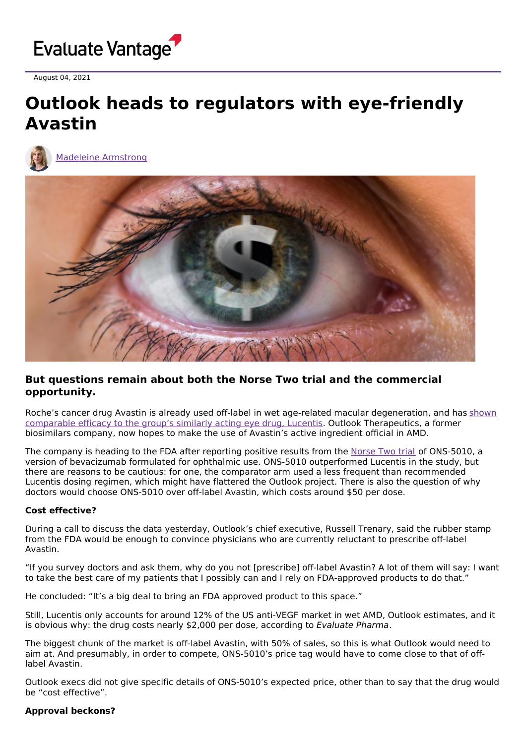

August 04, 2021

# **Outlook heads to regulators with eye-friendly Avastin**



Madeleine [Armstrong](https://www.evaluate.com/vantage/editorial-team/madeleine-armstrong)



## **But questions remain about both the Norse Two trial and the commercial opportunity.**

Roche's cancer drug Avastin is already used off-label in wet age-related macular [degeneration,](https://www.evaluate.com/vantage/articles/news/catt-out-bag-lucentis-avastin-debate-far-over) and has shown comparable efficacy to the group's similarly acting eye drug, Lucentis. Outlook Therapeutics, a former biosimilars company, now hopes to make the use of Avastin's active ingredient official in AMD.

The company is heading to the FDA after reporting positive results from the [Norse](https://clinicaltrials.gov/ct2/show/NCT03834753) Two trial of ONS-5010, a version of bevacizumab formulated for ophthalmic use. ONS-5010 outperformed Lucentis in the study, but there are reasons to be cautious: for one, the comparator arm used a less frequent than recommended Lucentis dosing regimen, which might have flattered the Outlook project. There is also the question of why doctors would choose ONS-5010 over off-label Avastin, which costs around \$50 per dose.

### **Cost effective?**

During a call to discuss the data yesterday, Outlook's chief executive, Russell Trenary, said the rubber stamp from the FDA would be enough to convince physicians who are currently reluctant to prescribe off-label Avastin.

"If you survey doctors and ask them, why do you not [prescribe] off-label Avastin? A lot of them will say: I want to take the best care of my patients that I possibly can and I rely on FDA-approved products to do that."

He concluded: "It's a big deal to bring an FDA approved product to this space."

Still, Lucentis only accounts for around 12% of the US anti-VEGF market in wet AMD, Outlook estimates, and it is obvious why: the drug costs nearly \$2,000 per dose, according to Evaluate Pharma.

The biggest chunk of the market is off-label Avastin, with 50% of sales, so this is what Outlook would need to aim at. And presumably, in order to compete, ONS-5010's price tag would have to come close to that of offlabel Avastin.

Outlook execs did not give specific details of ONS-5010's expected price, other than to say that the drug would be "cost effective".

### **Approval beckons?**